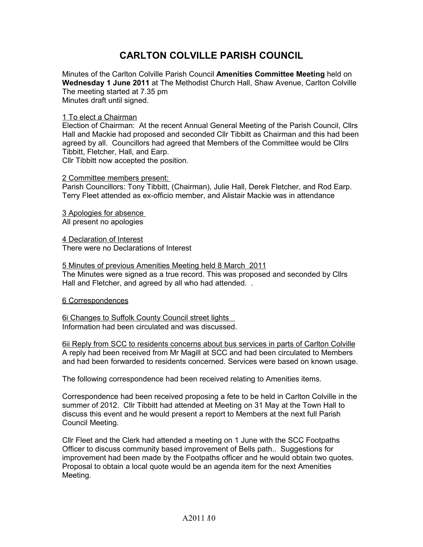## **CARLTON COLVILLE PARISH COUNCIL**

Minutes of the Carlton Colville Parish Council **Amenities Committee Meeting** held on **Wednesday 1 June 2011** at The Methodist Church Hall, Shaw Avenue, Carlton Colville The meeting started at 7.35 pm Minutes draft until signed.

## 1 To elect a Chairman

Election of Chairman: At the recent Annual General Meeting of the Parish Council, Cllrs Hall and Mackie had proposed and seconded Cllr Tibbitt as Chairman and this had been agreed by all. Councillors had agreed that Members of the Committee would be Cllrs Tibbitt, Fletcher, Hall, and Earp. Cllr Tibbitt now accepted the position.

## 2 Committee members present:

Parish Councillors: Tony Tibbitt, (Chairman), Julie Hall, Derek Fletcher, and Rod Earp. Terry Fleet attended as ex-officio member, and Alistair Mackie was in attendance

 3 Apologies for absence All present no apologies

 4 Declaration of Interest There were no Declarations of Interest

 5 Minutes of previous Amenities Meeting held 8 March 2011 The Minutes were signed as a true record. This was proposed and seconded by Cllrs Hall and Fletcher, and agreed by all who had attended. .

## 6 Correspondences

6i Changes to Suffolk County Council street lights Information had been circulated and was discussed.

6ii Reply from SCC to residents concerns about bus services in parts of Carlton Colville A reply had been received from Mr Magill at SCC and had been circulated to Members and had been forwarded to residents concerned. Services were based on known usage.

The following correspondence had been received relating to Amenities items.

Correspondence had been received proposing a fete to be held in Carlton Colville in the summer of 2012. Cllr Tibbitt had attended at Meeting on 31 May at the Town Hall to discuss this event and he would present a report to Members at the next full Parish Council Meeting.

Cllr Fleet and the Clerk had attended a meeting on 1 June with the SCC Footpaths Officer to discuss community based improvement of Bells path.. Suggestions for improvement had been made by the Footpaths officer and he would obtain two quotes. Proposal to obtain a local quote would be an agenda item for the next Amenities Meeting.